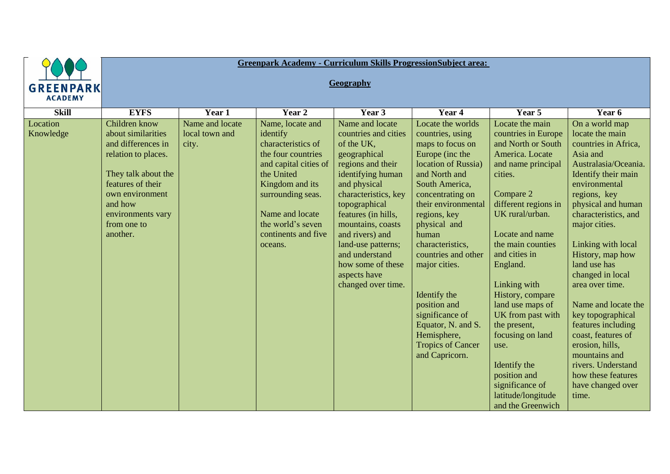|                                                                                                                                                                                                                                     | <b>Greenpark Academy - Curriculum Skills ProgressionSubject area:</b> |                                                                                                                                                                                                                                   |                                                                                                                                                                                                                                                                                                                                            |                                                                                                                                                                                                                                                                                                                                                                                                                              |                                                                                                                                                                                                                                                                                                                                                                                                                                                                      |                                                                                                                                                                                                                                                                                                                                                                                                                                                                                                                             |  |  |  |  |
|-------------------------------------------------------------------------------------------------------------------------------------------------------------------------------------------------------------------------------------|-----------------------------------------------------------------------|-----------------------------------------------------------------------------------------------------------------------------------------------------------------------------------------------------------------------------------|--------------------------------------------------------------------------------------------------------------------------------------------------------------------------------------------------------------------------------------------------------------------------------------------------------------------------------------------|------------------------------------------------------------------------------------------------------------------------------------------------------------------------------------------------------------------------------------------------------------------------------------------------------------------------------------------------------------------------------------------------------------------------------|----------------------------------------------------------------------------------------------------------------------------------------------------------------------------------------------------------------------------------------------------------------------------------------------------------------------------------------------------------------------------------------------------------------------------------------------------------------------|-----------------------------------------------------------------------------------------------------------------------------------------------------------------------------------------------------------------------------------------------------------------------------------------------------------------------------------------------------------------------------------------------------------------------------------------------------------------------------------------------------------------------------|--|--|--|--|
| <b>GREENPARK</b><br><b>ACADEMY</b>                                                                                                                                                                                                  | Geography                                                             |                                                                                                                                                                                                                                   |                                                                                                                                                                                                                                                                                                                                            |                                                                                                                                                                                                                                                                                                                                                                                                                              |                                                                                                                                                                                                                                                                                                                                                                                                                                                                      |                                                                                                                                                                                                                                                                                                                                                                                                                                                                                                                             |  |  |  |  |
| <b>Skill</b><br><b>EYFS</b>                                                                                                                                                                                                         | Year 1                                                                | Year 2                                                                                                                                                                                                                            | Year 3                                                                                                                                                                                                                                                                                                                                     | Year 4                                                                                                                                                                                                                                                                                                                                                                                                                       | Year 5                                                                                                                                                                                                                                                                                                                                                                                                                                                               | Year 6                                                                                                                                                                                                                                                                                                                                                                                                                                                                                                                      |  |  |  |  |
| Location<br>Children know<br>about similarities<br>Knowledge<br>and differences in<br>relation to places.<br>They talk about the<br>features of their<br>own environment<br>and how<br>environments vary<br>from one to<br>another. | Name and locate<br>local town and<br>city.                            | Name, locate and<br>identify<br>characteristics of<br>the four countries<br>and capital cities of<br>the United<br>Kingdom and its<br>surrounding seas.<br>Name and locate<br>the world's seven<br>continents and five<br>oceans. | Name and locate<br>countries and cities<br>of the UK,<br>geographical<br>regions and their<br>identifying human<br>and physical<br>characteristics, key<br>topographical<br>features (in hills,<br>mountains, coasts<br>and rivers) and<br>land-use patterns;<br>and understand<br>how some of these<br>aspects have<br>changed over time. | Locate the worlds<br>countries, using<br>maps to focus on<br>Europe (inc the<br>location of Russia)<br>and North and<br>South America,<br>concentrating on<br>their environmental<br>regions, key<br>physical and<br>human<br>characteristics,<br>countries and other<br>major cities.<br>Identify the<br>position and<br>significance of<br>Equator, N. and S.<br>Hemisphere,<br><b>Tropics of Cancer</b><br>and Capricorn. | Locate the main<br>countries in Europe<br>and North or South<br>America. Locate<br>and name principal<br>cities.<br>Compare 2<br>different regions in<br>UK rural/urban.<br>Locate and name<br>the main counties<br>and cities in<br>England.<br>Linking with<br>History, compare<br>land use maps of<br>UK from past with<br>the present,<br>focusing on land<br>use.<br>Identify the<br>position and<br>significance of<br>latitude/longitude<br>and the Greenwich | On a world map<br>locate the main<br>countries in Africa,<br>Asia and<br>Australasia/Oceania.<br>Identify their main<br>environmental<br>regions, key<br>physical and human<br>characteristics, and<br>major cities.<br>Linking with local<br>History, map how<br>land use has<br>changed in local<br>area over time.<br>Name and locate the<br>key topographical<br>features including<br>coast, features of<br>erosion, hills,<br>mountains and<br>rivers. Understand<br>how these features<br>have changed over<br>time. |  |  |  |  |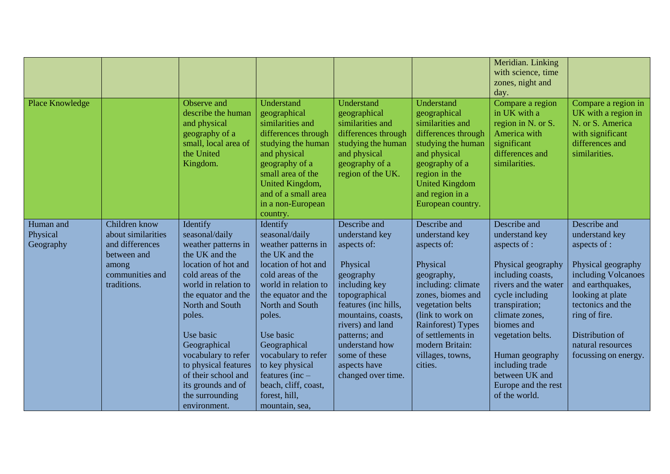|                                    |                                                                                                                  |                                                                                                                                                                                                                                                                                                                                                         |                                                                                                                                                                                                                                                                                                                                                    |                                                                                                                                                                                                                                                                      |                                                                                                                                                                                                                                                                | Meridian. Linking<br>with science, time<br>zones, night and<br>day.                                                                                                                                                                                                                                         |                                                                                                                                                                                                                                           |
|------------------------------------|------------------------------------------------------------------------------------------------------------------|---------------------------------------------------------------------------------------------------------------------------------------------------------------------------------------------------------------------------------------------------------------------------------------------------------------------------------------------------------|----------------------------------------------------------------------------------------------------------------------------------------------------------------------------------------------------------------------------------------------------------------------------------------------------------------------------------------------------|----------------------------------------------------------------------------------------------------------------------------------------------------------------------------------------------------------------------------------------------------------------------|----------------------------------------------------------------------------------------------------------------------------------------------------------------------------------------------------------------------------------------------------------------|-------------------------------------------------------------------------------------------------------------------------------------------------------------------------------------------------------------------------------------------------------------------------------------------------------------|-------------------------------------------------------------------------------------------------------------------------------------------------------------------------------------------------------------------------------------------|
| Place Knowledge                    |                                                                                                                  | Observe and<br>describe the human<br>and physical<br>geography of a<br>small, local area of<br>the United<br>Kingdom.                                                                                                                                                                                                                                   | Understand<br>geographical<br>similarities and<br>differences through<br>studying the human<br>and physical<br>geography of a<br>small area of the<br>United Kingdom,<br>and of a small area<br>in a non-European<br>country.                                                                                                                      | Understand<br>geographical<br>similarities and<br>differences through<br>studying the human<br>and physical<br>geography of a<br>region of the UK.                                                                                                                   | Understand<br>geographical<br>similarities and<br>differences through<br>studying the human<br>and physical<br>geography of a<br>region in the<br><b>United Kingdom</b><br>and region in a<br>European country.                                                | Compare a region<br>in UK with a<br>region in N. or S.<br>America with<br>significant<br>differences and<br>similarities.                                                                                                                                                                                   | Compare a region in<br>UK with a region in<br>N. or S. America<br>with significant<br>differences and<br>similarities.                                                                                                                    |
| Human and<br>Physical<br>Geography | Children know<br>about similarities<br>and differences<br>between and<br>among<br>communities and<br>traditions. | Identify<br>seasonal/daily<br>weather patterns in<br>the UK and the<br>location of hot and<br>cold areas of the<br>world in relation to<br>the equator and the<br>North and South<br>poles.<br>Use basic<br>Geographical<br>vocabulary to refer<br>to physical features<br>of their school and<br>its grounds and of<br>the surrounding<br>environment. | Identify<br>seasonal/daily<br>weather patterns in<br>the UK and the<br>location of hot and<br>cold areas of the<br>world in relation to<br>the equator and the<br>North and South<br>poles.<br>Use basic<br>Geographical<br>vocabulary to refer<br>to key physical<br>features (inc $-$<br>beach, cliff, coast,<br>forest, hill,<br>mountain, sea, | Describe and<br>understand key<br>aspects of:<br>Physical<br>geography<br>including key<br>topographical<br>features (inc hills,<br>mountains, coasts,<br>rivers) and land<br>patterns; and<br>understand how<br>some of these<br>aspects have<br>changed over time. | Describe and<br>understand key<br>aspects of:<br>Physical<br>geography,<br>including: climate<br>zones, biomes and<br>vegetation belts<br>(link to work on<br><b>Rainforest</b> ) Types<br>of settlements in<br>modern Britain:<br>villages, towns,<br>cities. | Describe and<br>understand key<br>aspects of :<br>Physical geography<br>including coasts,<br>rivers and the water<br>cycle including<br>transpiration;<br>climate zones,<br>biomes and<br>vegetation belts.<br>Human geography<br>including trade<br>between UK and<br>Europe and the rest<br>of the world. | Describe and<br>understand key<br>aspects of :<br>Physical geography<br>including Volcanoes<br>and earthquakes,<br>looking at plate<br>tectonics and the<br>ring of fire.<br>Distribution of<br>natural resources<br>focussing on energy. |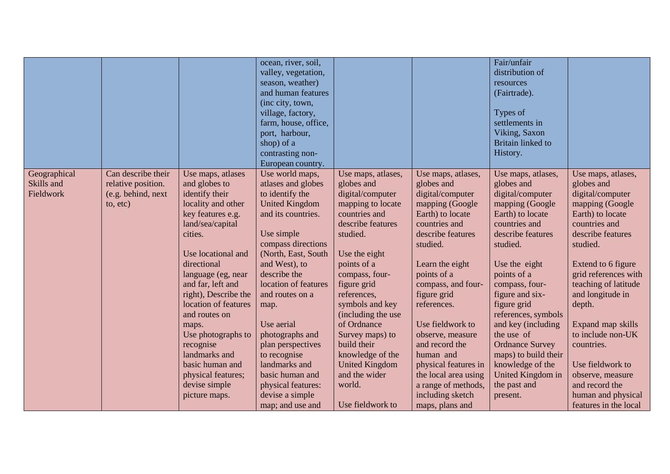|                                                     |                                                                                    |                                                                                                                                                                                                                                                                                                                                                                                                     | ocean, river, soil,<br>valley, vegetation,<br>season, weather)<br>and human features                                                                                                                                                                                                                                                                                                                                          |                                                                                                                                                                                                                                                                                                                                                                                                   |                                                                                                                                                                                                                                                                                                                                                                                                                          | Fair/unfair<br>distribution of<br>resources<br>(Fairtrade).                                                                                                                                                                                                                                                                                                                                                         |                                                                                                                                                                                                                                                                                                                                                                                                                    |
|-----------------------------------------------------|------------------------------------------------------------------------------------|-----------------------------------------------------------------------------------------------------------------------------------------------------------------------------------------------------------------------------------------------------------------------------------------------------------------------------------------------------------------------------------------------------|-------------------------------------------------------------------------------------------------------------------------------------------------------------------------------------------------------------------------------------------------------------------------------------------------------------------------------------------------------------------------------------------------------------------------------|---------------------------------------------------------------------------------------------------------------------------------------------------------------------------------------------------------------------------------------------------------------------------------------------------------------------------------------------------------------------------------------------------|--------------------------------------------------------------------------------------------------------------------------------------------------------------------------------------------------------------------------------------------------------------------------------------------------------------------------------------------------------------------------------------------------------------------------|---------------------------------------------------------------------------------------------------------------------------------------------------------------------------------------------------------------------------------------------------------------------------------------------------------------------------------------------------------------------------------------------------------------------|--------------------------------------------------------------------------------------------------------------------------------------------------------------------------------------------------------------------------------------------------------------------------------------------------------------------------------------------------------------------------------------------------------------------|
|                                                     |                                                                                    |                                                                                                                                                                                                                                                                                                                                                                                                     | (inc city, town,<br>village, factory,<br>farm, house, office,<br>port, harbour,<br>shop) of a                                                                                                                                                                                                                                                                                                                                 |                                                                                                                                                                                                                                                                                                                                                                                                   |                                                                                                                                                                                                                                                                                                                                                                                                                          | Types of<br>settlements in<br>Viking, Saxon<br><b>Britain linked to</b>                                                                                                                                                                                                                                                                                                                                             |                                                                                                                                                                                                                                                                                                                                                                                                                    |
|                                                     |                                                                                    |                                                                                                                                                                                                                                                                                                                                                                                                     | contrasting non-<br>European country.                                                                                                                                                                                                                                                                                                                                                                                         |                                                                                                                                                                                                                                                                                                                                                                                                   |                                                                                                                                                                                                                                                                                                                                                                                                                          | History.                                                                                                                                                                                                                                                                                                                                                                                                            |                                                                                                                                                                                                                                                                                                                                                                                                                    |
| Geographical<br>Skills and<br>Fieldwork<br>to, etc) | Can describe their<br>relative position.<br>(e.g. behind, next<br>cities.<br>maps. | Use maps, atlases<br>and globes to<br>identify their<br>locality and other<br>key features e.g.<br>land/sea/capital<br>Use locational and<br>directional<br>language (eg, near<br>and far, left and<br>right), Describe the<br>location of features<br>and routes on<br>Use photographs to<br>recognise<br>landmarks and<br>basic human and<br>physical features;<br>devise simple<br>picture maps. | Use world maps,<br>atlases and globes<br>to identify the<br><b>United Kingdom</b><br>and its countries.<br>Use simple<br>compass directions<br>(North, East, South<br>and West), to<br>describe the<br>location of features<br>and routes on a<br>map.<br>Use aerial<br>photographs and<br>plan perspectives<br>to recognise<br>landmarks and<br>basic human and<br>physical features:<br>devise a simple<br>map; and use and | Use maps, atlases,<br>globes and<br>digital/computer<br>mapping to locate<br>countries and<br>describe features<br>studied.<br>Use the eight<br>points of a<br>compass, four-<br>figure grid<br>references,<br>symbols and key<br>(including the use<br>of Ordnance<br>Survey maps) to<br>build their<br>knowledge of the<br><b>United Kingdom</b><br>and the wider<br>world.<br>Use fieldwork to | Use maps, atlases,<br>globes and<br>digital/computer<br>mapping (Google<br>Earth) to locate<br>countries and<br>describe features<br>studied.<br>Learn the eight<br>points of a<br>compass, and four-<br>figure grid<br>references.<br>Use fieldwork to<br>observe, measure<br>and record the<br>human and<br>physical features in<br>the local area using<br>a range of methods,<br>including sketch<br>maps, plans and | Use maps, atlases,<br>globes and<br>digital/computer<br>mapping (Google<br>Earth) to locate<br>countries and<br>describe features<br>studied.<br>Use the eight<br>points of a<br>compass, four-<br>figure and six-<br>figure grid<br>references, symbols<br>and key (including<br>the use of<br><b>Ordnance Survey</b><br>maps) to build their<br>knowledge of the<br>United Kingdom in<br>the past and<br>present. | Use maps, atlases,<br>globes and<br>digital/computer<br>mapping (Google<br>Earth) to locate<br>countries and<br>describe features<br>studied.<br>Extend to 6 figure<br>grid references with<br>teaching of latitude<br>and longitude in<br>depth.<br>Expand map skills<br>to include non-UK<br>countries.<br>Use fieldwork to<br>observe, measure<br>and record the<br>human and physical<br>features in the local |